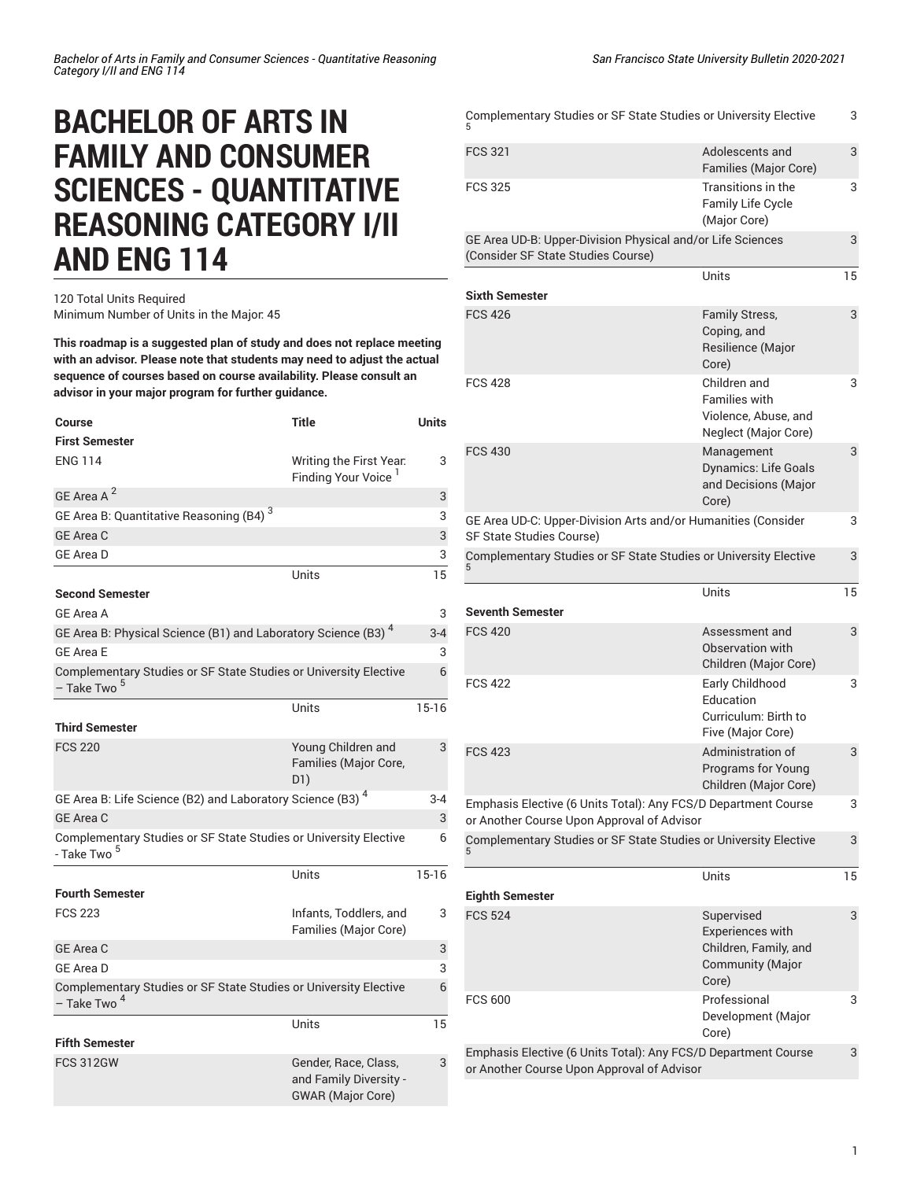## **BACHELOR OF ARTS IN FAMILY AND CONSUMER SCIENCES - QUANTITATIVE REASONING CATEGORY I/II AND ENG 114**

## 120 Total Units Required Minimum Number of Units in the Major: 45

**This roadmap is a suggested plan of study and does not replace meeting with an advisor. Please note that students may need to adjust the actual sequence of courses based on course availability. Please consult an advisor in your major program for further guidance.**

| Course                                                                                      | <b>Title</b>                                                               | <b>Units</b> |
|---------------------------------------------------------------------------------------------|----------------------------------------------------------------------------|--------------|
| <b>First Semester</b>                                                                       |                                                                            |              |
| <b>ENG 114</b>                                                                              | Writing the First Year.<br>Finding Your Voice <sup>1</sup>                 | 3            |
| GE Area A <sup>2</sup>                                                                      |                                                                            | 3            |
| GE Area B: Quantitative Reasoning (B4) <sup>3</sup>                                         |                                                                            | 3            |
| GE Area C                                                                                   |                                                                            | 3            |
| <b>GE Area D</b>                                                                            |                                                                            | 3            |
|                                                                                             | Units                                                                      | 15           |
| <b>Second Semester</b>                                                                      |                                                                            |              |
| <b>GE Area A</b>                                                                            |                                                                            | 3            |
| GE Area B: Physical Science (B1) and Laboratory Science (B3) <sup>4</sup>                   |                                                                            | $3 - 4$      |
| <b>GE Area E</b>                                                                            |                                                                            | 3            |
| Complementary Studies or SF State Studies or University Elective<br>- Take Two <sup>5</sup> |                                                                            | 6            |
|                                                                                             | Units                                                                      | $15-16$      |
| <b>Third Semester</b>                                                                       |                                                                            |              |
| <b>FCS 220</b>                                                                              | Young Children and<br>Families (Major Core,<br>D1)                         | 3            |
| GE Area B: Life Science (B2) and Laboratory Science (B3) <sup>4</sup>                       |                                                                            | $3 - 4$      |
| GE Area C                                                                                   |                                                                            | 3            |
| Complementary Studies or SF State Studies or University Elective<br>- Take Two <sup>5</sup> |                                                                            | 6            |
|                                                                                             | Units                                                                      | $15 - 16$    |
| <b>Fourth Semester</b>                                                                      |                                                                            |              |
| <b>FCS 223</b>                                                                              | Infants, Toddlers, and<br>Families (Major Core)                            | 3            |
| <b>GE Area C</b>                                                                            |                                                                            | 3            |
| <b>GE Area D</b>                                                                            |                                                                            | 3            |
| Complementary Studies or SF State Studies or University Elective<br>– Take Two <sup>4</sup> |                                                                            | 6            |
|                                                                                             | Units                                                                      | 15           |
| Fifth Semester                                                                              |                                                                            |              |
| <b>FCS 312GW</b>                                                                            | Gender, Race, Class,<br>and Family Diversity -<br><b>GWAR</b> (Major Core) | 3            |

| Complementary Studies or SF State Studies or University Elective                                             |                                                                                             |    |
|--------------------------------------------------------------------------------------------------------------|---------------------------------------------------------------------------------------------|----|
| <b>FCS 321</b>                                                                                               | Adolescents and<br>Families (Major Core)                                                    | 3  |
| <b>FCS 325</b>                                                                                               | Transitions in the<br><b>Family Life Cycle</b><br>(Major Core)                              | 3  |
| GE Area UD-B: Upper-Division Physical and/or Life Sciences<br>(Consider SF State Studies Course)             |                                                                                             |    |
|                                                                                                              | Units                                                                                       | 15 |
| <b>Sixth Semester</b>                                                                                        |                                                                                             |    |
| <b>FCS 426</b>                                                                                               | Family Stress,<br>Coping, and<br>Resilience (Major<br>Core)                                 | 3  |
| <b>FCS 428</b>                                                                                               | Children and<br><b>Families with</b><br>Violence, Abuse, and<br>Neglect (Major Core)        | 3  |
| <b>FCS 430</b>                                                                                               | Management<br><b>Dynamics: Life Goals</b><br>and Decisions (Major<br>Core)                  | 3  |
| GE Area UD-C: Upper-Division Arts and/or Humanities (Consider<br>3<br>SF State Studies Course)               |                                                                                             |    |
| Complementary Studies or SF State Studies or University Elective                                             |                                                                                             | 3  |
| <b>Seventh Semester</b>                                                                                      | Units                                                                                       | 15 |
|                                                                                                              |                                                                                             |    |
| <b>FCS 420</b>                                                                                               | Assessment and<br>Observation with<br>Children (Major Core)                                 | 3  |
| <b>FCS 422</b>                                                                                               | Early Childhood<br>Education<br>Curriculum: Birth to<br>Five (Major Core)                   | 3  |
| <b>FCS 423</b>                                                                                               | Administration of<br><b>Programs for Young</b><br>Children (Major Core)                     | 3  |
| Emphasis Elective (6 Units Total): Any FCS/D Department Course<br>or Another Course Upon Approval of Advisor |                                                                                             | 3  |
| Complementary Studies or SF State Studies or University Elective                                             |                                                                                             | 3  |
|                                                                                                              | Units                                                                                       | 15 |
| <b>Eighth Semester</b><br><b>FCS 524</b>                                                                     | Supervised<br>Experiences with<br>Children, Family, and<br><b>Community (Major</b><br>Core) | 3  |
| <b>FCS 600</b>                                                                                               | Professional<br>Development (Major<br>Core)                                                 | 3  |